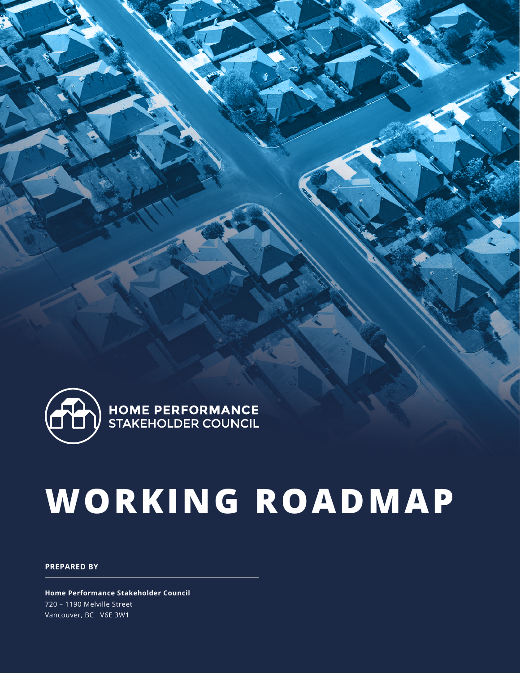

# **WORKING ROADMAP**

#### **PREPARED BY**

**Home Performance Stakeholder Council** 720 – 1190 Melville Street Vancouver, BC V6E 3W1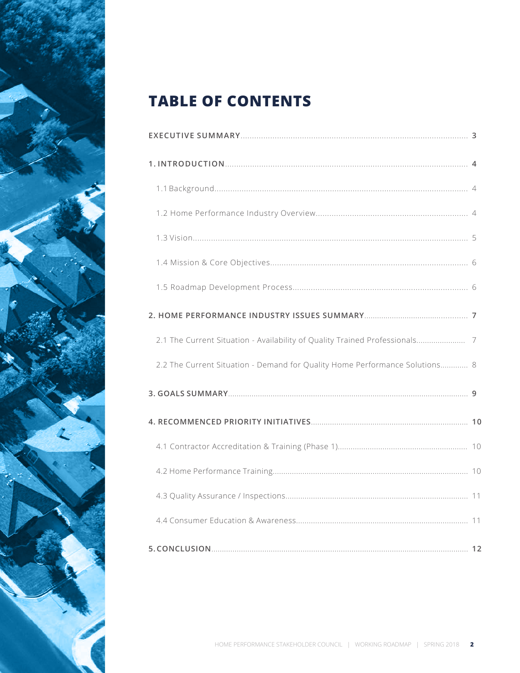

# **TABLE OF CONTENTS**

| 2.1 The Current Situation - Availability of Quality Trained Professionals 7 |  |
|-----------------------------------------------------------------------------|--|
| 2.2 The Current Situation - Demand for Quality Home Performance Solutions 8 |  |
|                                                                             |  |
|                                                                             |  |
|                                                                             |  |
|                                                                             |  |
|                                                                             |  |
|                                                                             |  |
|                                                                             |  |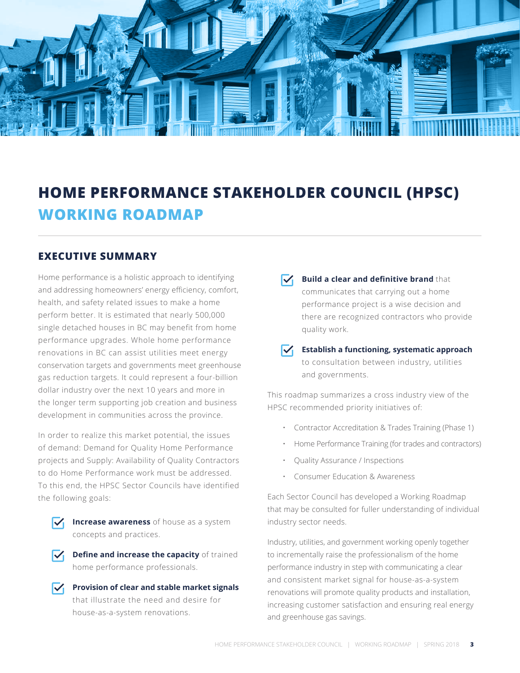

# **HOME PERFORMANCE STAKEHOLDER COUNCIL (HPSC) WORKING ROADMAP**

#### **EXECUTIVE SUMMARY**

Home performance is a holistic approach to identifying and addressing homeowners' energy efficiency, comfort, health, and safety related issues to make a home perform better. It is estimated that nearly 500,000 single detached houses in BC may benefit from home performance upgrades. Whole home performance renovations in BC can assist utilities meet energy conservation targets and governments meet greenhouse gas reduction targets. It could represent a four-billion dollar industry over the next 10 years and more in the longer term supporting job creation and business development in communities across the province.

In order to realize this market potential, the issues of demand: Demand for Quality Home Performance projects and Supply: Availability of Quality Contractors to do Home Performance work must be addressed. To this end, the HPSC Sector Councils have identified the following goals:

**IV Increase awareness** of house as a system concepts and practices.

 $\sqrt{\phantom{a}}$  Define and increase the capacity of trained home performance professionals.

**Provision of clear and stable market signals** that illustrate the need and desire for house-as-a-system renovations.

 $\sqrt{\phantom{a}}$  **Build a clear and definitive brand** that communicates that carrying out a home performance project is a wise decision and there are recognized contractors who provide quality work.

#### **Establish a functioning, systematic approach** to consultation between industry, utilities and governments.

This roadmap summarizes a cross industry view of the HPSC recommended priority initiatives of:

- Contractor Accreditation & Trades Training (Phase 1)
- Home Performance Training (for trades and contractors)
- Quality Assurance / Inspections
- Consumer Education & Awareness

Each Sector Council has developed a Working Roadmap that may be consulted for fuller understanding of individual industry sector needs.

Industry, utilities, and government working openly together to incrementally raise the professionalism of the home performance industry in step with communicating a clear and consistent market signal for house-as-a-system renovations will promote quality products and installation, increasing customer satisfaction and ensuring real energy and greenhouse gas savings.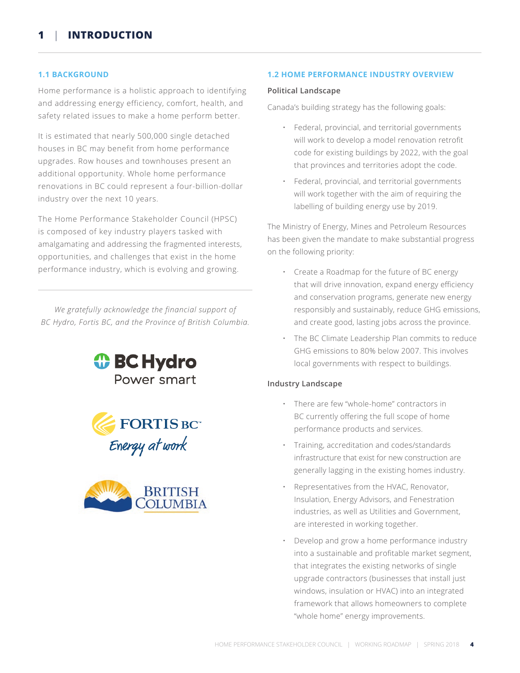#### **1.1 BACKGROUND**

Home performance is a holistic approach to identifying and addressing energy efficiency, comfort, health, and safety related issues to make a home perform better.

It is estimated that nearly 500,000 single detached houses in BC may benefit from home performance upgrades. Row houses and townhouses present an additional opportunity. Whole home performance renovations in BC could represent a four-billion-dollar industry over the next 10 years.

The Home Performance Stakeholder Council (HPSC) is composed of key industry players tasked with amalgamating and addressing the fragmented interests, opportunities, and challenges that exist in the home performance industry, which is evolving and growing.

*We gratefully acknowledge the financial support of BC Hydro, Fortis BC, and the Province of British Columbia.*







#### **1.2 HOME PERFORMANCE INDUSTRY OVERVIEW**

#### **Political Landscape**

Canada's building strategy has the following goals:

- Federal, provincial, and territorial governments will work to develop a model renovation retrofit code for existing buildings by 2022, with the goal that provinces and territories adopt the code.
- Federal, provincial, and territorial governments will work together with the aim of requiring the labelling of building energy use by 2019.

The Ministry of Energy, Mines and Petroleum Resources has been given the mandate to make substantial progress on the following priority:

- Create a Roadmap for the future of BC energy that will drive innovation, expand energy efficiency and conservation programs, generate new energy responsibly and sustainably, reduce GHG emissions, and create good, lasting jobs across the province.
- The BC Climate Leadership Plan commits to reduce GHG emissions to 80% below 2007. This involves local governments with respect to buildings.

#### **Industry Landscape**

- There are few "whole-home" contractors in BC currently offering the full scope of home performance products and services.
- Training, accreditation and codes/standards infrastructure that exist for new construction are generally lagging in the existing homes industry.
- Representatives from the HVAC, Renovator, Insulation, Energy Advisors, and Fenestration industries, as well as Utilities and Government, are interested in working together.
- Develop and grow a home performance industry into a sustainable and profitable market segment, that integrates the existing networks of single upgrade contractors (businesses that install just windows, insulation or HVAC) into an integrated framework that allows homeowners to complete "whole home" energy improvements.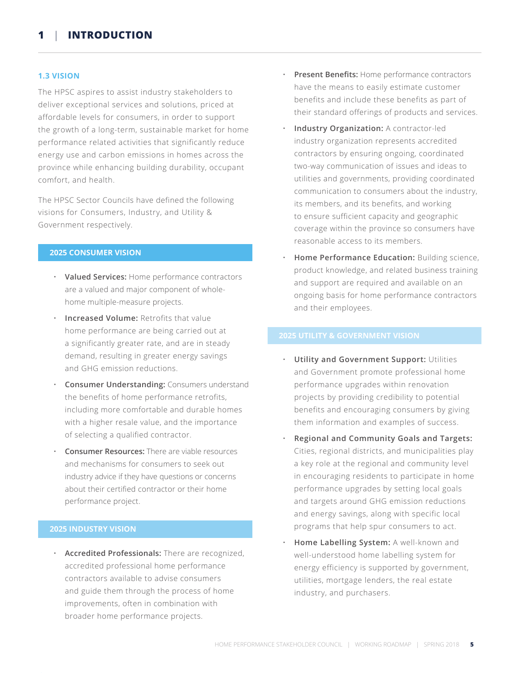#### **1.3 VISION**

The HPSC aspires to assist industry stakeholders to deliver exceptional services and solutions, priced at affordable levels for consumers, in order to support the growth of a long-term, sustainable market for home performance related activities that significantly reduce energy use and carbon emissions in homes across the province while enhancing building durability, occupant comfort, and health.

The HPSC Sector Councils have defined the following visions for Consumers, Industry, and Utility & Government respectively.

#### **2025 CONSUMER VISION**

- **Valued Services:** Home performance contractors are a valued and major component of wholehome multiple-measure projects.
- **Increased Volume:** Retrofits that value home performance are being carried out at a significantly greater rate, and are in steady demand, resulting in greater energy savings and GHG emission reductions.
- **Consumer Understanding:** Consumers understand the benefits of home performance retrofits, including more comfortable and durable homes with a higher resale value, and the importance of selecting a qualified contractor.
- **Consumer Resources:** There are viable resources and mechanisms for consumers to seek out industry advice if they have questions or concerns about their certified contractor or their home performance project.

#### **2025 INDUSTRY VISION**

• **Accredited Professionals:** There are recognized, accredited professional home performance contractors available to advise consumers and guide them through the process of home improvements, often in combination with broader home performance projects.

- • **Present Benefits:** Home performance contractors have the means to easily estimate customer benefits and include these benefits as part of their standard offerings of products and services.
- **Industry Organization:** A contractor-led industry organization represents accredited contractors by ensuring ongoing, coordinated two-way communication of issues and ideas to utilities and governments, providing coordinated communication to consumers about the industry, its members, and its benefits, and working to ensure sufficient capacity and geographic coverage within the province so consumers have reasonable access to its members.
- **Home Performance Education:** Building science, product knowledge, and related business training and support are required and available on an ongoing basis for home performance contractors and their employees.

- **Utility and Government Support:** Utilities and Government promote professional home performance upgrades within renovation projects by providing credibility to potential benefits and encouraging consumers by giving them information and examples of success.
- **Regional and Community Goals and Targets:** Cities, regional districts, and municipalities play a key role at the regional and community level in encouraging residents to participate in home performance upgrades by setting local goals and targets around GHG emission reductions and energy savings, along with specific local programs that help spur consumers to act.
- **Home Labelling System:** A well-known and well-understood home labelling system for energy efficiency is supported by government, utilities, mortgage lenders, the real estate industry, and purchasers.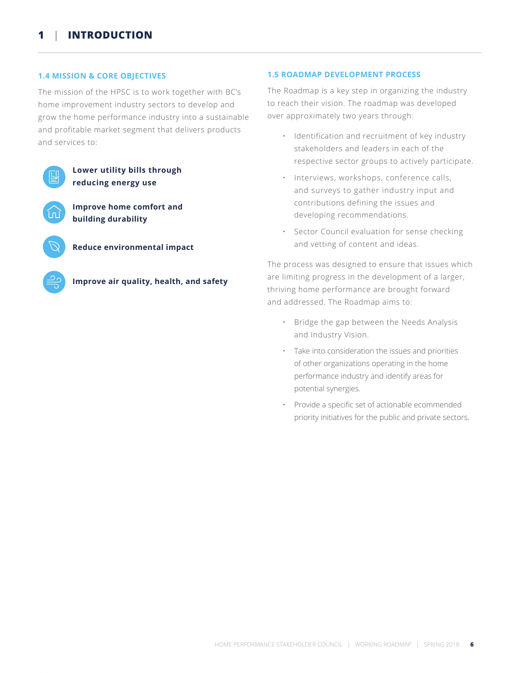#### **1.4 MISSION & CORE OBJECTIVES**

The mission of the HPSC is to work together with BC's home improvement industry sectors to develop and grow the home performance industry into a sustainable and profitable market segment that delivers products and services to:



#### **1.5 ROADMAP DEVELOPMENT PROCESS**

The Roadmap is a key step in organizing the industry to reach their vision. The roadmap was developed over approximately two years through:

- Identification and recruitment of key industry stakeholders and leaders in each of the respective sector groups to actively participate.
- Interviews, workshops, conference calls, and surveys to gather industry input and contributions defining the issues and developing recommendations.
- Sector Council evaluation for sense checking and vetting of content and ideas.

The process was designed to ensure that issues which are limiting progress in the development of a larger, thriving home performance are brought forward and addressed. The Roadmap aims to:

- Bridge the gap between the Needs Analysis and Industry Vision.
- Take into consideration the issues and priorities of other organizations operating in the home performance industry and identify areas for potential synergies.
- Provide a specific set of actionable ecommended priority initiatives for the public and private sectors.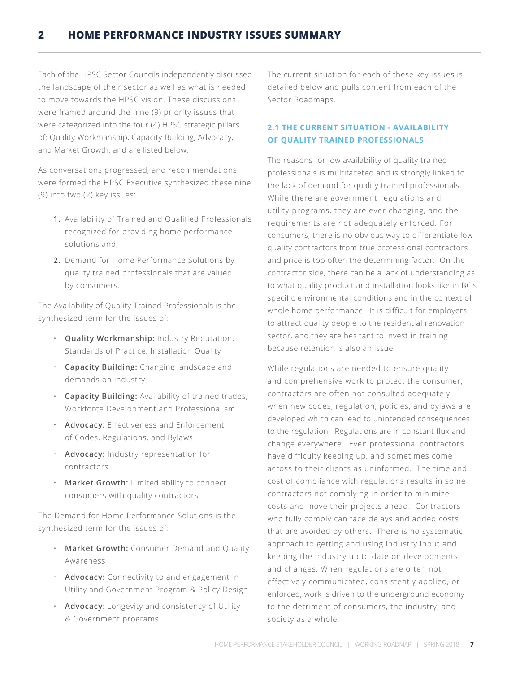#### **2** | **HOME PERFORMANCE INDUSTRY ISSUES SUMMARY**

Each of the HPSC Sector Councils independently discussed the landscape of their sector as well as what is needed to move towards the HPSC vision. These discussions were framed around the nine (9) priority issues that were categorized into the four (4) HPSC strategic pillars of: Quality Workmanship, Capacity Building, Advocacy, and Market Growth, and are listed below.

As conversations progressed, and recommendations were formed the HPSC Executive synthesized these nine (9) into two (2) key issues:

- **1.** Availability of Trained and Qualified Professionals recognized for providing home performance solutions and;
- **2.** Demand for Home Performance Solutions by quality trained professionals that are valued by consumers.

The Availability of Quality Trained Professionals is the synthesized term for the issues of:

- **Quality Workmanship:** Industry Reputation, Standards of Practice, Installation Quality
- **Capacity Building:** Changing landscape and demands on industry
- **Capacity Building:** Availability of trained trades, Workforce Development and Professionalism
- **Advocacy:** Effectiveness and Enforcement of Codes, Regulations, and Bylaws
- **Advocacy:** Industry representation for contractors
- **Market Growth:** Limited ability to connect consumers with quality contractors

The Demand for Home Performance Solutions is the synthesized term for the issues of:

- **Market Growth:** Consumer Demand and Quality Awareness
- **Advocacy:** Connectivity to and engagement in Utility and Government Program & Policy Design
- **Advocacy**: Longevity and consistency of Utility & Government programs

The current situation for each of these key issues is detailed below and pulls content from each of the Sector Roadmaps.

#### **2.1 THE CURRENT SITUATION - AVAILABILITY OF QUALITY TRAINED PROFESSIONALS**

The reasons for low availability of quality trained professionals is multifaceted and is strongly linked to the lack of demand for quality trained professionals. While there are government regulations and utility programs, they are ever changing, and the requirements are not adequately enforced. For consumers, there is no obvious way to differentiate low quality contractors from true professional contractors and price is too often the determining factor. On the contractor side, there can be a lack of understanding as to what quality product and installation looks like in BC's specific environmental conditions and in the context of whole home performance. It is difficult for employers to attract quality people to the residential renovation sector, and they are hesitant to invest in training because retention is also an issue.

While regulations are needed to ensure quality and comprehensive work to protect the consumer, contractors are often not consulted adequately when new codes, regulation, policies, and bylaws are developed which can lead to unintended consequences to the regulation. Regulations are in constant flux and change everywhere. Even professional contractors have difficulty keeping up, and sometimes come across to their clients as uninformed. The time and cost of compliance with regulations results in some contractors not complying in order to minimize costs and move their projects ahead. Contractors who fully comply can face delays and added costs that are avoided by others. There is no systematic approach to getting and using industry input and keeping the industry up to date on developments and changes. When regulations are often not effectively communicated, consistently applied, or enforced, work is driven to the underground economy to the detriment of consumers, the industry, and society as a whole.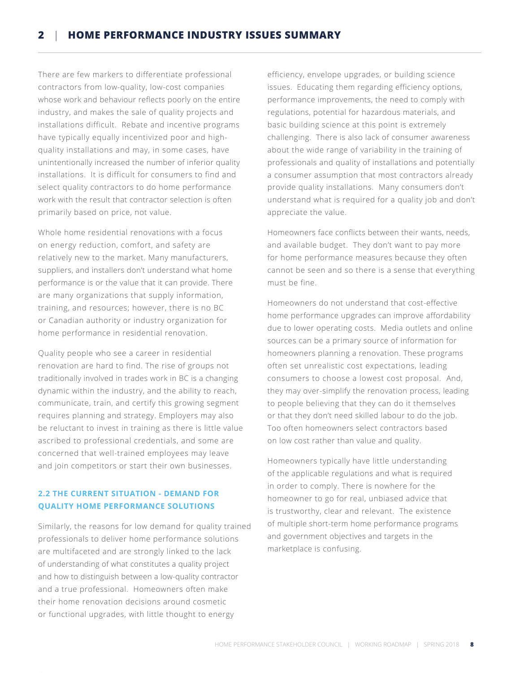#### **2** | **HOME PERFORMANCE INDUSTRY ISSUES SUMMARY**

There are few markers to differentiate professional contractors from low-quality, low-cost companies whose work and behaviour reflects poorly on the entire industry, and makes the sale of quality projects and installations difficult. Rebate and incentive programs have typically equally incentivized poor and highquality installations and may, in some cases, have unintentionally increased the number of inferior quality installations. It is difficult for consumers to find and select quality contractors to do home performance work with the result that contractor selection is often primarily based on price, not value.

Whole home residential renovations with a focus on energy reduction, comfort, and safety are relatively new to the market. Many manufacturers, suppliers, and installers don't understand what home performance is or the value that it can provide. There are many organizations that supply information, training, and resources; however, there is no BC or Canadian authority or industry organization for home performance in residential renovation.

Quality people who see a career in residential renovation are hard to find. The rise of groups not traditionally involved in trades work in BC is a changing dynamic within the industry, and the ability to reach, communicate, train, and certify this growing segment requires planning and strategy. Employers may also be reluctant to invest in training as there is little value ascribed to professional credentials, and some are concerned that well-trained employees may leave and join competitors or start their own businesses.

#### **2.2 THE CURRENT SITUATION - DEMAND FOR QUALITY HOME PERFORMANCE SOLUTIONS**

Similarly, the reasons for low demand for quality trained professionals to deliver home performance solutions are multifaceted and are strongly linked to the lack of understanding of what constitutes a quality project and how to distinguish between a low-quality contractor and a true professional. Homeowners often make their home renovation decisions around cosmetic or functional upgrades, with little thought to energy

efficiency, envelope upgrades, or building science issues. Educating them regarding efficiency options, performance improvements, the need to comply with regulations, potential for hazardous materials, and basic building science at this point is extremely challenging. There is also lack of consumer awareness about the wide range of variability in the training of professionals and quality of installations and potentially a consumer assumption that most contractors already provide quality installations. Many consumers don't understand what is required for a quality job and don't appreciate the value.

Homeowners face conflicts between their wants, needs, and available budget. They don't want to pay more for home performance measures because they often cannot be seen and so there is a sense that everything must be fine.

Homeowners do not understand that cost-effective home performance upgrades can improve affordability due to lower operating costs. Media outlets and online sources can be a primary source of information for homeowners planning a renovation. These programs often set unrealistic cost expectations, leading consumers to choose a lowest cost proposal. And, they may over-simplify the renovation process, leading to people believing that they can do it themselves or that they don't need skilled labour to do the job. Too often homeowners select contractors based on low cost rather than value and quality.

Homeowners typically have little understanding of the applicable regulations and what is required in order to comply. There is nowhere for the homeowner to go for real, unbiased advice that is trustworthy, clear and relevant. The existence of multiple short-term home performance programs and government objectives and targets in the marketplace is confusing.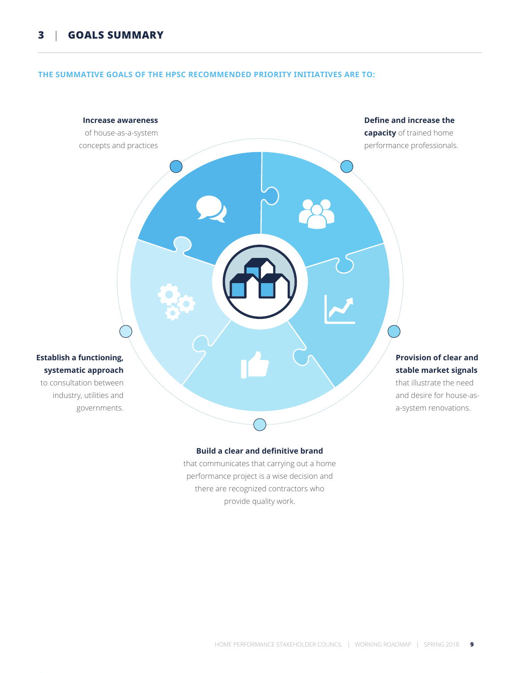#### **THE SUMMATIVE GOALS OF THE HPSC RECOMMENDED PRIORITY INITIATIVES ARE TO:**

## **Increase awareness**  of house-as-a-system concepts and practices **Define and increase the capacity** of trained home performance professionals. **Provision of clear and stable market signals** that illustrate the need and desire for house-asa-system renovations. **Establish a functioning, systematic approach** to consultation between industry, utilities and governments.

#### **Build a clear and definitive brand**

that communicates that carrying out a home performance project is a wise decision and there are recognized contractors who provide quality work.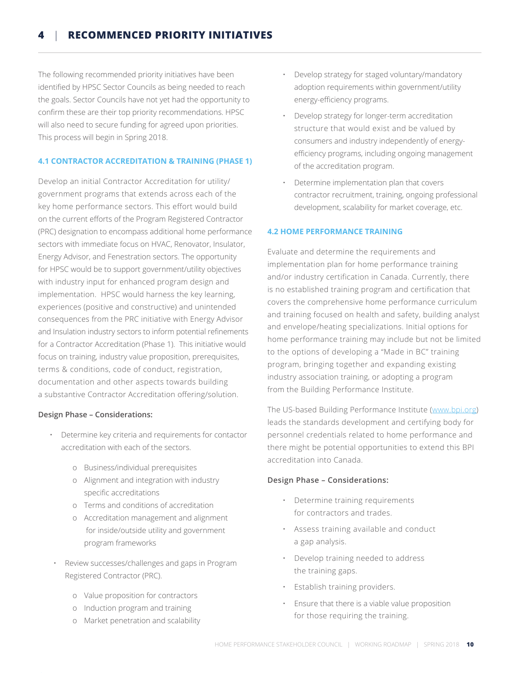The following recommended priority initiatives have been identified by HPSC Sector Councils as being needed to reach the goals. Sector Councils have not yet had the opportunity to confirm these are their top priority recommendations. HPSC will also need to secure funding for agreed upon priorities. This process will begin in Spring 2018.

#### **4.1 CONTRACTOR ACCREDITATION & TRAINING (PHASE 1)**

Develop an initial Contractor Accreditation for utility/ government programs that extends across each of the key home performance sectors. This effort would build on the current efforts of the Program Registered Contractor (PRC) designation to encompass additional home performance sectors with immediate focus on HVAC, Renovator, Insulator, Energy Advisor, and Fenestration sectors. The opportunity for HPSC would be to support government/utility objectives with industry input for enhanced program design and implementation. HPSC would harness the key learning, experiences (positive and constructive) and unintended consequences from the PRC initiative with Energy Advisor and Insulation industry sectors to inform potential refinements for a Contractor Accreditation (Phase 1). This initiative would focus on training, industry value proposition, prerequisites, terms & conditions, code of conduct, registration, documentation and other aspects towards building a substantive Contractor Accreditation offering/solution.

#### **Design Phase – Considerations:**

- Determine key criteria and requirements for contactor accreditation with each of the sectors.
	- o Business/individual prerequisites
	- o Alignment and integration with industry specific accreditations
	- o Terms and conditions of accreditation
	- o Accreditation management and alignment for inside/outside utility and government program frameworks
	- Review successes/challenges and gaps in Program Registered Contractor (PRC).
		- o Value proposition for contractors
		- o Induction program and training
		- o Market penetration and scalability
- Develop strategy for staged voluntary/mandatory adoption requirements within government/utility energy-efficiency programs.
- Develop strategy for longer-term accreditation structure that would exist and be valued by consumers and industry independently of energyefficiency programs, including ongoing management of the accreditation program.
- Determine implementation plan that covers contractor recruitment, training, ongoing professional development, scalability for market coverage, etc.

#### **4.2 HOME PERFORMANCE TRAINING**

Evaluate and determine the requirements and implementation plan for home performance training and/or industry certification in Canada. Currently, there is no established training program and certification that covers the comprehensive home performance curriculum and training focused on health and safety, building analyst and envelope/heating specializations. Initial options for home performance training may include but not be limited to the options of developing a "Made in BC" training program, bringing together and expanding existing industry association training, or adopting a program from the Building Performance Institute.

The US-based Building Performance Institute (www.bpi.org) leads the standards development and certifying body for personnel credentials related to home performance and there might be potential opportunities to extend this BPI accreditation into Canada.

#### **Design Phase – Considerations:**

- Determine training requirements for contractors and trades.
- Assess training available and conduct a gap analysis.
- Develop training needed to address the training gaps.
- Establish training providers.
- Ensure that there is a viable value proposition for those requiring the training.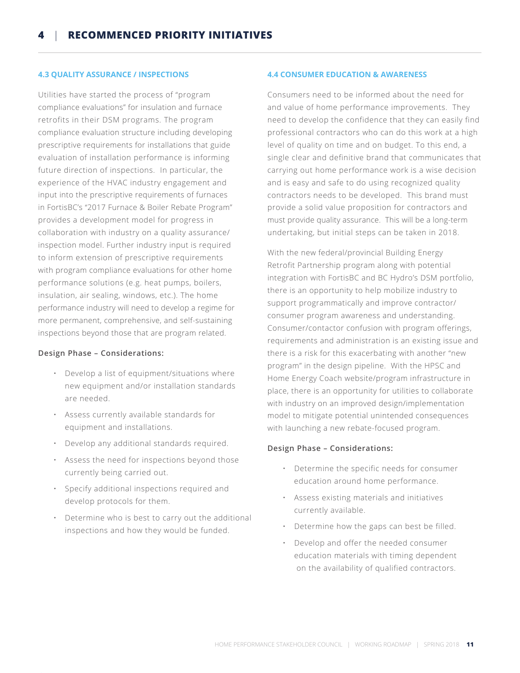#### **4.3 QUALITY ASSURANCE / INSPECTIONS**

Utilities have started the process of "program compliance evaluations" for insulation and furnace retrofits in their DSM programs. The program compliance evaluation structure including developing prescriptive requirements for installations that guide evaluation of installation performance is informing future direction of inspections. In particular, the experience of the HVAC industry engagement and input into the prescriptive requirements of furnaces in FortisBC's "2017 Furnace & Boiler Rebate Program" provides a development model for progress in collaboration with industry on a quality assurance/ inspection model. Further industry input is required to inform extension of prescriptive requirements with program compliance evaluations for other home performance solutions (e.g. heat pumps, boilers, insulation, air sealing, windows, etc.). The home performance industry will need to develop a regime for more permanent, comprehensive, and self-sustaining inspections beyond those that are program related.

#### **Design Phase – Considerations:**

- Develop a list of equipment/situations where new equipment and/or installation standards are needed.
- Assess currently available standards for equipment and installations.
- Develop any additional standards required.
- Assess the need for inspections beyond those currently being carried out.
- Specify additional inspections required and develop protocols for them.
- Determine who is best to carry out the additional inspections and how they would be funded.

#### **4.4 CONSUMER EDUCATION & AWARENESS**

Consumers need to be informed about the need for and value of home performance improvements. They need to develop the confidence that they can easily find professional contractors who can do this work at a high level of quality on time and on budget. To this end, a single clear and definitive brand that communicates that carrying out home performance work is a wise decision and is easy and safe to do using recognized quality contractors needs to be developed. This brand must provide a solid value proposition for contractors and must provide quality assurance. This will be a long-term undertaking, but initial steps can be taken in 2018.

With the new federal/provincial Building Energy Retrofit Partnership program along with potential integration with FortisBC and BC Hydro's DSM portfolio, there is an opportunity to help mobilize industry to support programmatically and improve contractor/ consumer program awareness and understanding. Consumer/contactor confusion with program offerings, requirements and administration is an existing issue and there is a risk for this exacerbating with another "new program" in the design pipeline. With the HPSC and Home Energy Coach website/program infrastructure in place, there is an opportunity for utilities to collaborate with industry on an improved design/implementation model to mitigate potential unintended consequences with launching a new rebate-focused program.

#### **Design Phase – Considerations:**

- Determine the specific needs for consumer education around home performance.
- Assess existing materials and initiatives currently available.
- Determine how the gaps can best be filled.
- Develop and offer the needed consumer education materials with timing dependent on the availability of qualified contractors.